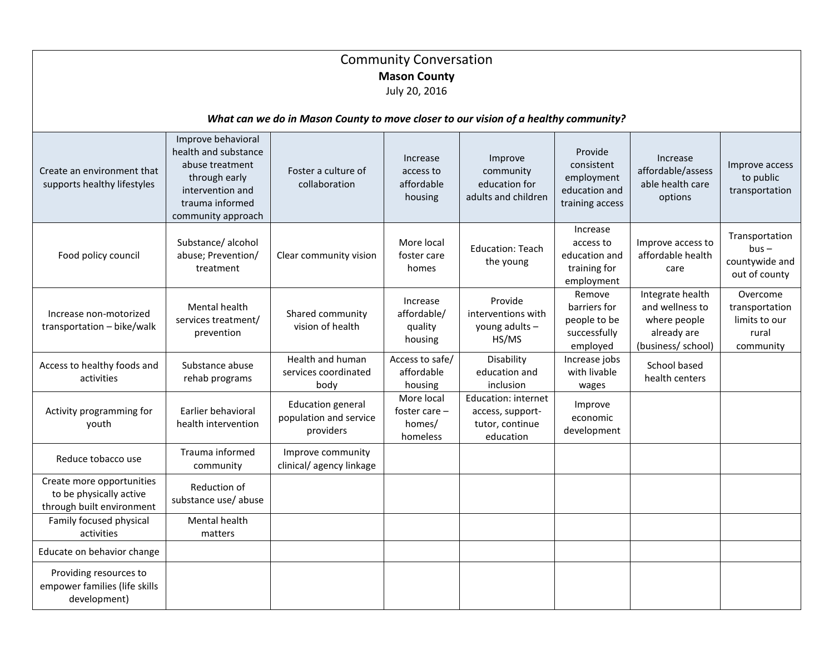| <b>Community Conversation</b><br><b>Mason County</b><br>July 20, 2016               |                                                                                                                                             |                                                                 |                                                     |                                                                         |                                                                         |                                                                                          |                                                                   |
|-------------------------------------------------------------------------------------|---------------------------------------------------------------------------------------------------------------------------------------------|-----------------------------------------------------------------|-----------------------------------------------------|-------------------------------------------------------------------------|-------------------------------------------------------------------------|------------------------------------------------------------------------------------------|-------------------------------------------------------------------|
| What can we do in Mason County to move closer to our vision of a healthy community? |                                                                                                                                             |                                                                 |                                                     |                                                                         |                                                                         |                                                                                          |                                                                   |
| Create an environment that<br>supports healthy lifestyles                           | Improve behavioral<br>health and substance<br>abuse treatment<br>through early<br>intervention and<br>trauma informed<br>community approach | Foster a culture of<br>collaboration                            | Increase<br>access to<br>affordable<br>housing      | Improve<br>community<br>education for<br>adults and children            | Provide<br>consistent<br>employment<br>education and<br>training access | Increase<br>affordable/assess<br>able health care<br>options                             | Improve access<br>to public<br>transportation                     |
| Food policy council                                                                 | Substance/alcohol<br>abuse; Prevention/<br>treatment                                                                                        | Clear community vision                                          | More local<br>foster care<br>homes                  | <b>Education: Teach</b><br>the young                                    | Increase<br>access to<br>education and<br>training for<br>employment    | Improve access to<br>affordable health<br>care                                           | Transportation<br>$bus -$<br>countywide and<br>out of county      |
| Increase non-motorized<br>transportation - bike/walk                                | <b>Mental health</b><br>services treatment/<br>prevention                                                                                   | Shared community<br>vision of health                            | Increase<br>affordable/<br>quality<br>housing       | Provide<br>interventions with<br>young adults -<br>HS/MS                | Remove<br>barriers for<br>people to be<br>successfully<br>employed      | Integrate health<br>and wellness to<br>where people<br>already are<br>(business/ school) | Overcome<br>transportation<br>limits to our<br>rural<br>community |
| Access to healthy foods and<br>activities                                           | Substance abuse<br>rehab programs                                                                                                           | Health and human<br>services coordinated<br>body                | Access to safe/<br>affordable<br>housing            | Disability<br>education and<br>inclusion                                | Increase jobs<br>with livable<br>wages                                  | School based<br>health centers                                                           |                                                                   |
| Activity programming for<br>youth                                                   | Earlier behavioral<br>health intervention                                                                                                   | <b>Education general</b><br>population and service<br>providers | More local<br>foster care $-$<br>homes/<br>homeless | Education: internet<br>access, support-<br>tutor, continue<br>education | Improve<br>economic<br>development                                      |                                                                                          |                                                                   |
| Reduce tobacco use                                                                  | Trauma informed<br>community                                                                                                                | Improve community<br>clinical/agency linkage                    |                                                     |                                                                         |                                                                         |                                                                                          |                                                                   |
| Create more opportunities<br>to be physically active<br>through built environment   | Reduction of<br>substance use/ abuse                                                                                                        |                                                                 |                                                     |                                                                         |                                                                         |                                                                                          |                                                                   |
| Family focused physical<br>activities                                               | Mental health<br>matters                                                                                                                    |                                                                 |                                                     |                                                                         |                                                                         |                                                                                          |                                                                   |
| Educate on behavior change                                                          |                                                                                                                                             |                                                                 |                                                     |                                                                         |                                                                         |                                                                                          |                                                                   |
| Providing resources to<br>empower families (life skills<br>development)             |                                                                                                                                             |                                                                 |                                                     |                                                                         |                                                                         |                                                                                          |                                                                   |